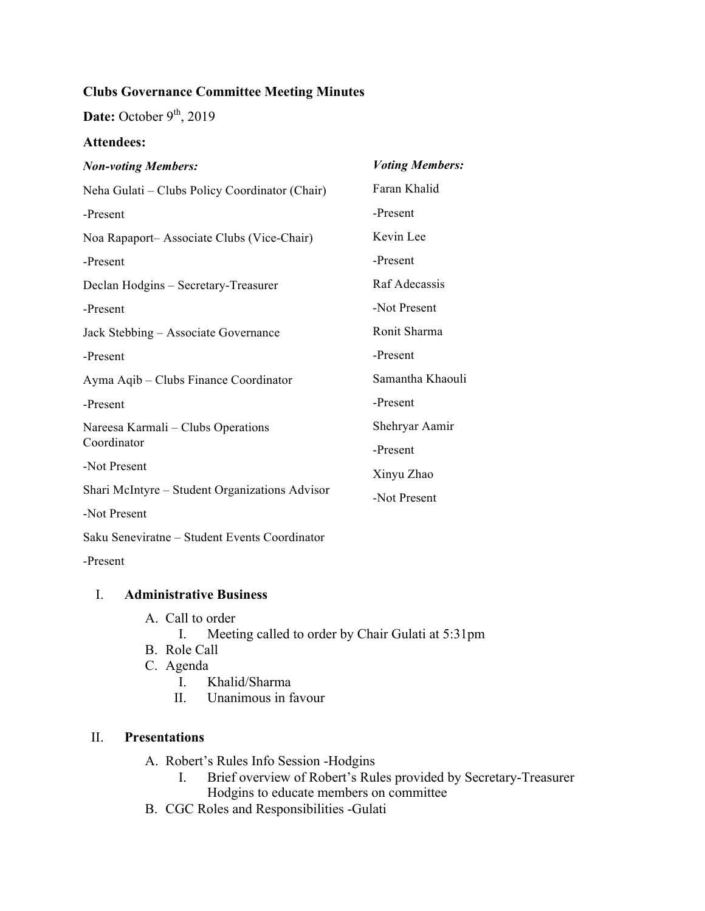# **Clubs Governance Committee Meeting Minutes**

Date: October 9<sup>th</sup>, 2019

### **Attendees:**

| <b>Non-voting Members:</b>                        | <b>Voting Members:</b> |
|---------------------------------------------------|------------------------|
| Neha Gulati – Clubs Policy Coordinator (Chair)    | Faran Khalid           |
| -Present                                          | -Present               |
| Noa Rapaport-Associate Clubs (Vice-Chair)         | Kevin Lee              |
| -Present                                          | -Present               |
| Declan Hodgins - Secretary-Treasurer              | Raf Adecassis          |
| -Present                                          | -Not Present           |
| Jack Stebbing - Associate Governance              | Ronit Sharma           |
| -Present                                          | -Present               |
| Ayma Aqib – Clubs Finance Coordinator             | Samantha Khaouli       |
| -Present                                          | -Present               |
| Nareesa Karmali – Clubs Operations<br>Coordinator | Shehryar Aamir         |
|                                                   | -Present               |
| -Not Present                                      | Xinyu Zhao             |
| Shari McIntyre - Student Organizations Advisor    | -Not Present           |
| -Not Present                                      |                        |
| Saku Seneviratne - Student Events Coordinator     |                        |
| -Present                                          |                        |

#### I. **Administrative Business**

- A. Call to order
	- I. Meeting called to order by Chair Gulati at 5:31pm
- B. Role Call
- C. Agenda
	- I. Khalid/Sharma
	- II. Unanimous in favour

#### II. **Presentations**

- A. Robert's Rules Info Session -Hodgins
	- I. Brief overview of Robert's Rules provided by Secretary-Treasurer Hodgins to educate members on committee
- B. CGC Roles and Responsibilities -Gulati